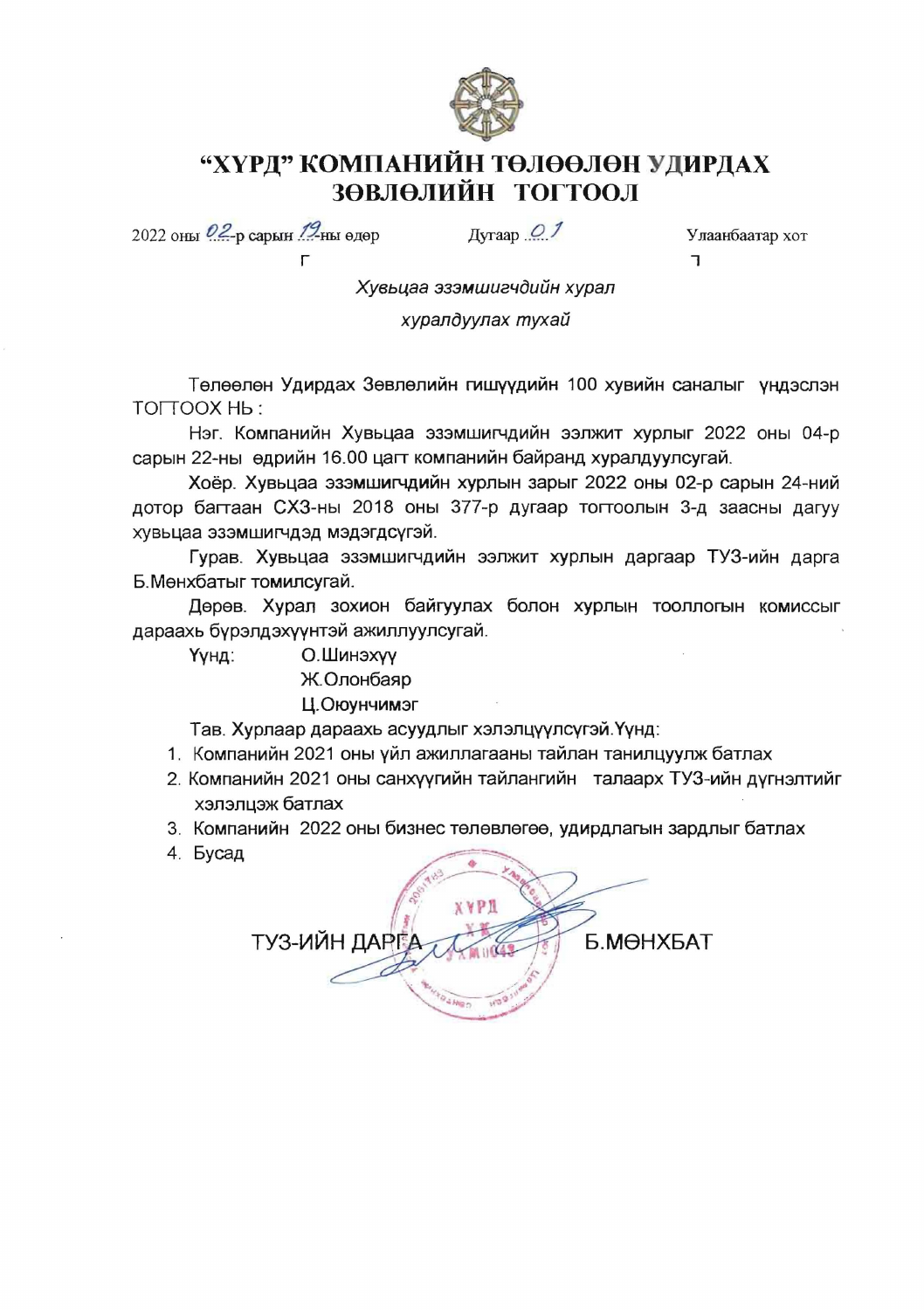

### "ХҮРД" КОМПАНИЙН ТӨЛӨӨЛӨН УДИРДАХ ЗӨВЛӨЛИЙН ТОГТООЛ

2022 оны 02-р сарын 19-ны өдөр

 $\Gamma$ 

 $A_{\text{Vraap}} \Omega$ 

Улаанбаатар хот  $\overline{1}$ 

Хувьцаа эзэмшигчдийн хурал

хуралдуулах тухай

Төлөөлөн Удирдах Зөвлөлийн гишүүдийн 100 хувийн саналыг үндэслэн TOITOOX Hb:

Нэг. Компанийн Хувьцаа эзэмшигчдийн ээлжит хурлыг 2022 оны 04-р сарын 22-ны өдрийн 16.00 цагт компанийн байранд хүралдуулсугай.

Хоёр. Хувьцаа эзэмшигчдийн хурлын зарыг 2022 оны 02-р сарын 24-ний дотор багтаан СХЗ-ны 2018 оны 377-р дугаар тогтоолын 3-д заасны дагуу хувьцаа эзэмшигчдэд мэдэгдсүгэй.

Гурав. Хувьцаа эзэмшигчдийн ээлжит хурлын даргаар ТУЗ-ийн дарга Б. Мөнхбатыг томилсугай.

Дөрөв. Хурал зохион байгуулах болон хурлын тооллогын комиссыг дараахь бурэлдэхүүнтэй ажиллуулсугай.

О.Шинэхүү Үүнд:

### Ж.Олонбаяр

#### Ц.Оюунчимэг

Тав. Хурлаар дараахь асуудлыг хэлэлцүүлсүгэй. Үүнд:

- 1. Компанийн 2021 оны үйл ажиллагааны тайлан танилцуулж батлах
- 2. Компанийн 2021 оны санхүүгийн тайлангийн талаарх ТУЗ-ийн дүгнэлтийг хэлэлцэж батлах
- 3. Компанийн 2022 оны бизнес төлөвлөгөө, удирдлагын зардлыг батлах
- 4. Бусад

| <b>XYPI</b><br>ТУЗ-ИЙН ДАРГА | Б. МӨНХБАТ |
|------------------------------|------------|
|                              |            |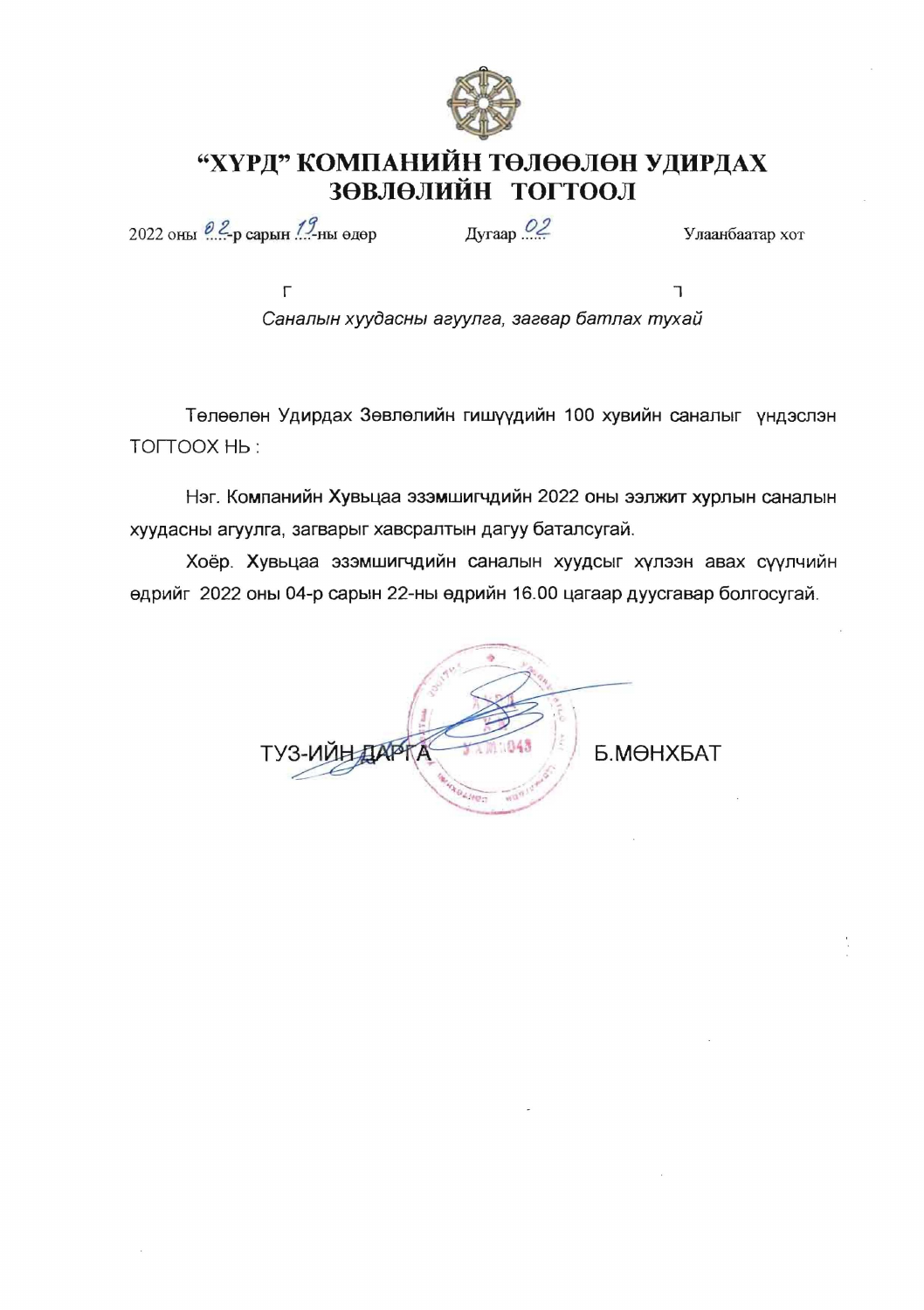

## "ХҮРД" КОМПАНИЙН ТӨЛӨӨЛӨН УДИРДАХ ЗӨВЛӨЛИЙН ТОГТООЛ

2022 оны  $2\ell$ -р сарын  $1\ell$ -ны өдөр

Дугаар <sup>02</sup>

Улаанбаатар хот

 $\Gamma$ T. Саналын хуудасны агуулга, загвар батлах тухай

Төлөөлөн Удирдах Зөвлөлийн гишүүдийн 100 хувийн саналыг үндэслэн TOLTOOX Hb:

Нэг. Компанийн Хувьцаа эзэмшигчдийн 2022 оны ээлжит хурлын саналын хуудасны агуулга, загварыг хавсралтын дагуу баталсугай.

Хоёр. Хувьцаа эзэмшигчдийн саналын хуудсыг хүлээн авах сүүлчийн өдрийг 2022 оны 04-р сарын 22-ны өдрийн 16.00 цагаар дуусгавар болгосугай.